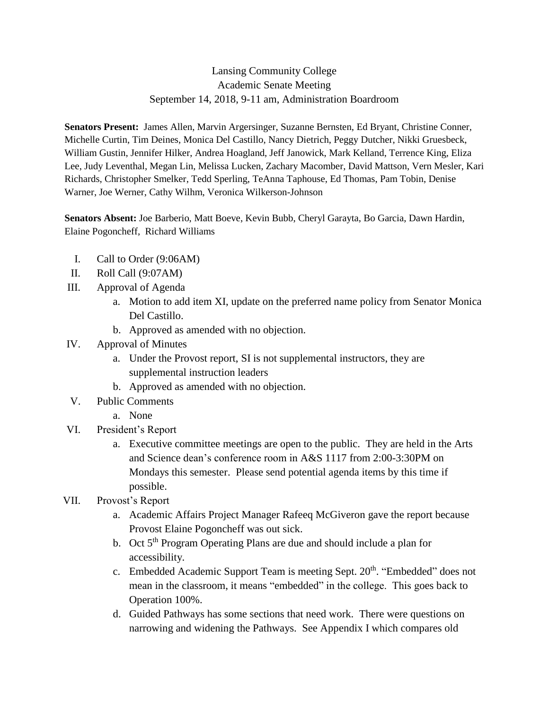## Lansing Community College Academic Senate Meeting September 14, 2018, 9-11 am, Administration Boardroom

**Senators Present:** James Allen, Marvin Argersinger, Suzanne Bernsten, Ed Bryant, Christine Conner, Michelle Curtin, Tim Deines, Monica Del Castillo, Nancy Dietrich, Peggy Dutcher, Nikki Gruesbeck, William Gustin, Jennifer Hilker, Andrea Hoagland, Jeff Janowick, Mark Kelland, Terrence King, Eliza Lee, Judy Leventhal, Megan Lin, Melissa Lucken, Zachary Macomber, David Mattson, Vern Mesler, Kari Richards, Christopher Smelker, Tedd Sperling, TeAnna Taphouse, Ed Thomas, Pam Tobin, Denise Warner, Joe Werner, Cathy Wilhm, Veronica Wilkerson-Johnson

**Senators Absent:** Joe Barberio, Matt Boeve, Kevin Bubb, Cheryl Garayta, Bo Garcia, Dawn Hardin, Elaine Pogoncheff, Richard Williams

- I. Call to Order (9:06AM)
- II. Roll Call (9:07AM)
- III. Approval of Agenda
	- a. Motion to add item XI, update on the preferred name policy from Senator Monica Del Castillo.
	- b. Approved as amended with no objection.
- IV. Approval of Minutes
	- a. Under the Provost report, SI is not supplemental instructors, they are supplemental instruction leaders
	- b. Approved as amended with no objection.
- V. Public Comments
	- a. None
- VI. President's Report
	- a. Executive committee meetings are open to the public. They are held in the Arts and Science dean's conference room in A&S 1117 from 2:00-3:30PM on Mondays this semester. Please send potential agenda items by this time if possible.
- VII. Provost's Report
	- a. Academic Affairs Project Manager Rafeeq McGiveron gave the report because Provost Elaine Pogoncheff was out sick.
	- b. Oct  $5<sup>th</sup>$  Program Operating Plans are due and should include a plan for accessibility.
	- c. Embedded Academic Support Team is meeting Sept. 20<sup>th</sup>. "Embedded" does not mean in the classroom, it means "embedded" in the college. This goes back to Operation 100%.
	- d. Guided Pathways has some sections that need work. There were questions on narrowing and widening the Pathways. See Appendix I which compares old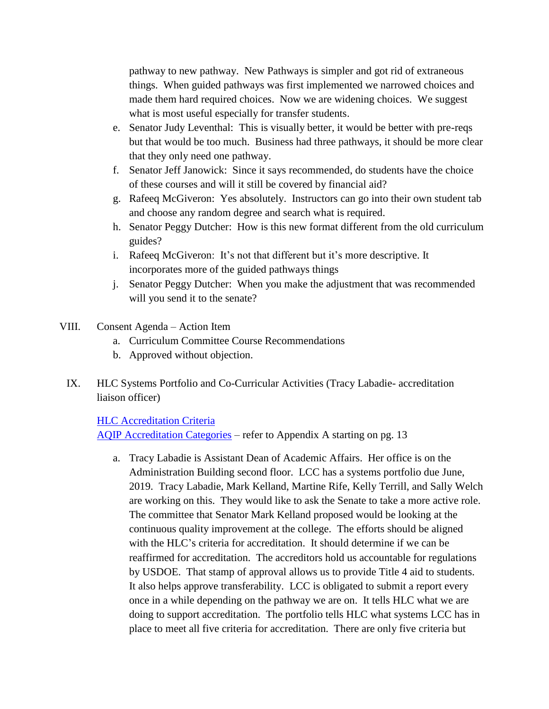pathway to new pathway. New Pathways is simpler and got rid of extraneous things. When guided pathways was first implemented we narrowed choices and made them hard required choices. Now we are widening choices. We suggest what is most useful especially for transfer students.

- e. Senator Judy Leventhal: This is visually better, it would be better with pre-reqs but that would be too much. Business had three pathways, it should be more clear that they only need one pathway.
- f. Senator Jeff Janowick: Since it says recommended, do students have the choice of these courses and will it still be covered by financial aid?
- g. Rafeeq McGiveron: Yes absolutely. Instructors can go into their own student tab and choose any random degree and search what is required.
- h. Senator Peggy Dutcher: How is this new format different from the old curriculum guides?
- i. Rafeeq McGiveron: It's not that different but it's more descriptive. It incorporates more of the guided pathways things
- j. Senator Peggy Dutcher: When you make the adjustment that was recommended will you send it to the senate?
- VIII. Consent Agenda Action Item
	- a. Curriculum Committee Course Recommendations
	- b. Approved without objection.
	- IX. HLC Systems Portfolio and Co-Curricular Activities (Tracy Labadie- accreditation liaison officer)

## [HLC Accreditation Criteria](https://www.hlcommission.org/Policies/criteria-and-core-components.html)

[AQIP Accreditation Categories](http://download.hlcommission.org/AQIPPathway-SystemsPortfolioAppraisal_PRC.pdf) – refer to Appendix A starting on pg. 13

a. Tracy Labadie is Assistant Dean of Academic Affairs. Her office is on the Administration Building second floor. LCC has a systems portfolio due June, 2019. Tracy Labadie, Mark Kelland, Martine Rife, Kelly Terrill, and Sally Welch are working on this. They would like to ask the Senate to take a more active role. The committee that Senator Mark Kelland proposed would be looking at the continuous quality improvement at the college. The efforts should be aligned with the HLC's criteria for accreditation. It should determine if we can be reaffirmed for accreditation. The accreditors hold us accountable for regulations by USDOE. That stamp of approval allows us to provide Title 4 aid to students. It also helps approve transferability. LCC is obligated to submit a report every once in a while depending on the pathway we are on. It tells HLC what we are doing to support accreditation. The portfolio tells HLC what systems LCC has in place to meet all five criteria for accreditation. There are only five criteria but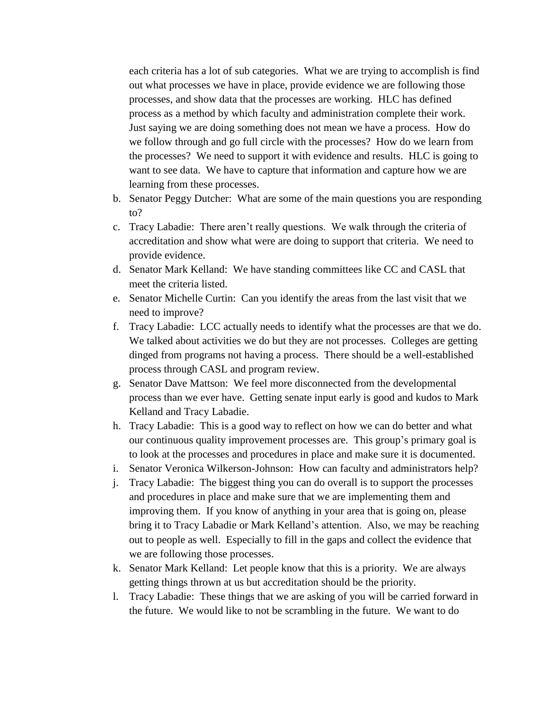each criteria has a lot of sub categories. What we are trying to accomplish is find out what processes we have in place, provide evidence we are following those processes, and show data that the processes are working. HLC has defined process as a method by which faculty and administration complete their work. Just saying we are doing something does not mean we have a process. How do we follow through and go full circle with the processes? How do we learn from the processes? We need to support it with evidence and results. HLC is going to want to see data. We have to capture that information and capture how we are learning from these processes.

- b. Senator Peggy Dutcher: What are some of the main questions you are responding to?
- c. Tracy Labadie: There aren't really questions. We walk through the criteria of accreditation and show what were are doing to support that criteria. We need to provide evidence.
- d. Senator Mark Kelland: We have standing committees like CC and CASL that meet the criteria listed.
- e. Senator Michelle Curtin: Can you identify the areas from the last visit that we need to improve?
- f. Tracy Labadie: LCC actually needs to identify what the processes are that we do. We talked about activities we do but they are not processes. Colleges are getting dinged from programs not having a process. There should be a well-established process through CASL and program review.
- g. Senator Dave Mattson: We feel more disconnected from the developmental process than we ever have. Getting senate input early is good and kudos to Mark Kelland and Tracy Labadie.
- h. Tracy Labadie: This is a good way to reflect on how we can do better and what our continuous quality improvement processes are. This group's primary goal is to look at the processes and procedures in place and make sure it is documented.
- i. Senator Veronica Wilkerson-Johnson: How can faculty and administrators help?
- j. Tracy Labadie: The biggest thing you can do overall is to support the processes and procedures in place and make sure that we are implementing them and improving them. If you know of anything in your area that is going on, please bring it to Tracy Labadie or Mark Kelland's attention. Also, we may be reaching out to people as well. Especially to fill in the gaps and collect the evidence that we are following those processes.
- k. Senator Mark Kelland: Let people know that this is a priority. We are always getting things thrown at us but accreditation should be the priority.
- l. Tracy Labadie: These things that we are asking of you will be carried forward in the future. We would like to not be scrambling in the future. We want to do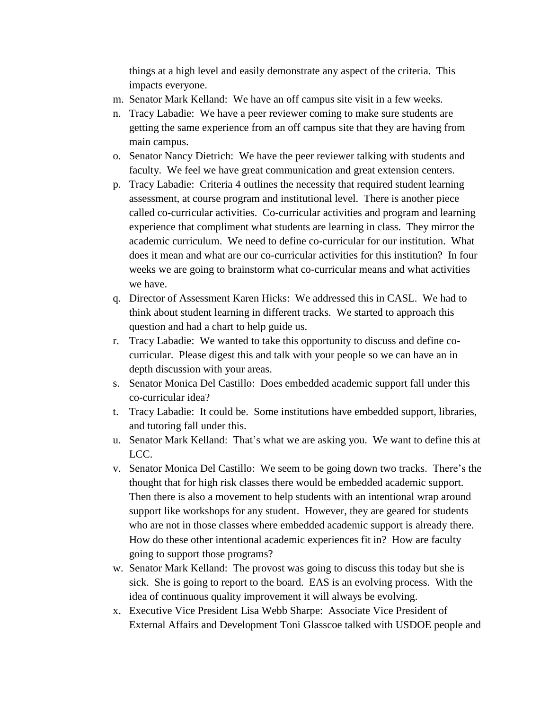things at a high level and easily demonstrate any aspect of the criteria. This impacts everyone.

- m. Senator Mark Kelland: We have an off campus site visit in a few weeks.
- n. Tracy Labadie: We have a peer reviewer coming to make sure students are getting the same experience from an off campus site that they are having from main campus.
- o. Senator Nancy Dietrich: We have the peer reviewer talking with students and faculty. We feel we have great communication and great extension centers.
- p. Tracy Labadie: Criteria 4 outlines the necessity that required student learning assessment, at course program and institutional level. There is another piece called co-curricular activities. Co-curricular activities and program and learning experience that compliment what students are learning in class. They mirror the academic curriculum. We need to define co-curricular for our institution. What does it mean and what are our co-curricular activities for this institution? In four weeks we are going to brainstorm what co-curricular means and what activities we have.
- q. Director of Assessment Karen Hicks: We addressed this in CASL. We had to think about student learning in different tracks. We started to approach this question and had a chart to help guide us.
- r. Tracy Labadie: We wanted to take this opportunity to discuss and define cocurricular. Please digest this and talk with your people so we can have an in depth discussion with your areas.
- s. Senator Monica Del Castillo: Does embedded academic support fall under this co-curricular idea?
- t. Tracy Labadie: It could be. Some institutions have embedded support, libraries, and tutoring fall under this.
- u. Senator Mark Kelland: That's what we are asking you. We want to define this at LCC.
- v. Senator Monica Del Castillo: We seem to be going down two tracks. There's the thought that for high risk classes there would be embedded academic support. Then there is also a movement to help students with an intentional wrap around support like workshops for any student. However, they are geared for students who are not in those classes where embedded academic support is already there. How do these other intentional academic experiences fit in? How are faculty going to support those programs?
- w. Senator Mark Kelland: The provost was going to discuss this today but she is sick. She is going to report to the board. EAS is an evolving process. With the idea of continuous quality improvement it will always be evolving.
- x. Executive Vice President Lisa Webb Sharpe: Associate Vice President of External Affairs and Development Toni Glasscoe talked with USDOE people and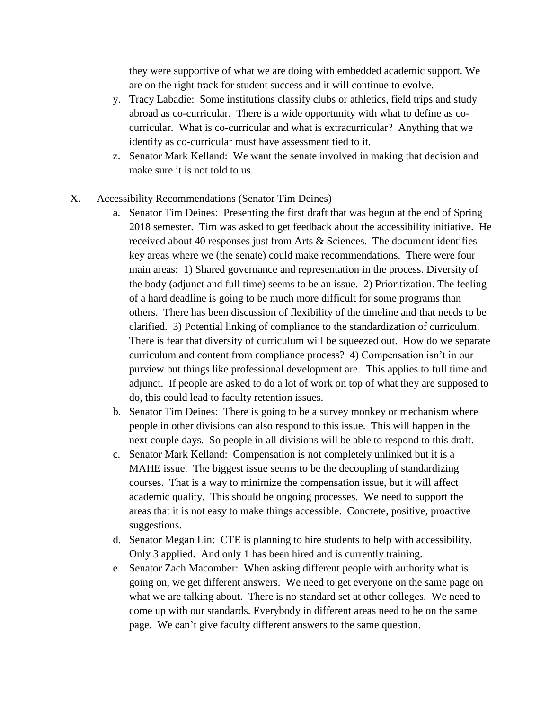they were supportive of what we are doing with embedded academic support. We are on the right track for student success and it will continue to evolve.

- y. Tracy Labadie: Some institutions classify clubs or athletics, field trips and study abroad as co-curricular. There is a wide opportunity with what to define as cocurricular. What is co-curricular and what is extracurricular? Anything that we identify as co-curricular must have assessment tied to it.
- z. Senator Mark Kelland: We want the senate involved in making that decision and make sure it is not told to us.
- X. Accessibility Recommendations (Senator Tim Deines)
	- a. Senator Tim Deines: Presenting the first draft that was begun at the end of Spring 2018 semester. Tim was asked to get feedback about the accessibility initiative. He received about 40 responses just from Arts & Sciences. The document identifies key areas where we (the senate) could make recommendations. There were four main areas: 1) Shared governance and representation in the process. Diversity of the body (adjunct and full time) seems to be an issue. 2) Prioritization. The feeling of a hard deadline is going to be much more difficult for some programs than others. There has been discussion of flexibility of the timeline and that needs to be clarified. 3) Potential linking of compliance to the standardization of curriculum. There is fear that diversity of curriculum will be squeezed out. How do we separate curriculum and content from compliance process? 4) Compensation isn't in our purview but things like professional development are. This applies to full time and adjunct. If people are asked to do a lot of work on top of what they are supposed to do, this could lead to faculty retention issues.
	- b. Senator Tim Deines: There is going to be a survey monkey or mechanism where people in other divisions can also respond to this issue. This will happen in the next couple days. So people in all divisions will be able to respond to this draft.
	- c. Senator Mark Kelland: Compensation is not completely unlinked but it is a MAHE issue. The biggest issue seems to be the decoupling of standardizing courses. That is a way to minimize the compensation issue, but it will affect academic quality. This should be ongoing processes. We need to support the areas that it is not easy to make things accessible. Concrete, positive, proactive suggestions.
	- d. Senator Megan Lin: CTE is planning to hire students to help with accessibility. Only 3 applied. And only 1 has been hired and is currently training.
	- e. Senator Zach Macomber: When asking different people with authority what is going on, we get different answers. We need to get everyone on the same page on what we are talking about. There is no standard set at other colleges. We need to come up with our standards. Everybody in different areas need to be on the same page. We can't give faculty different answers to the same question.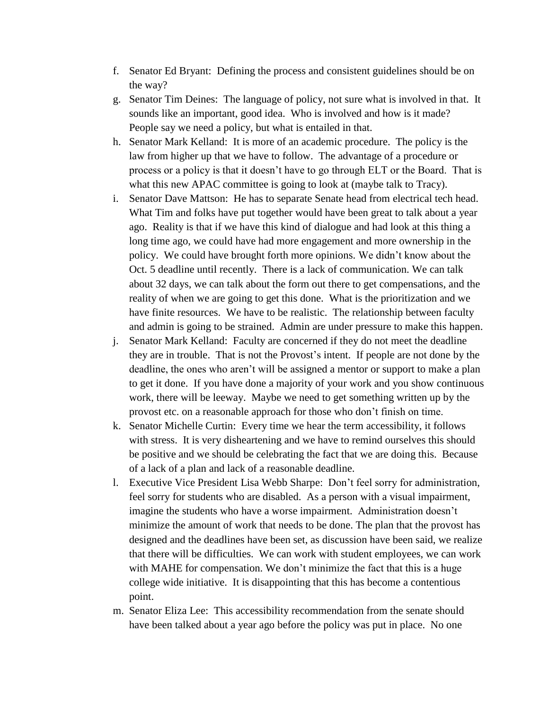- f. Senator Ed Bryant: Defining the process and consistent guidelines should be on the way?
- g. Senator Tim Deines: The language of policy, not sure what is involved in that. It sounds like an important, good idea. Who is involved and how is it made? People say we need a policy, but what is entailed in that.
- h. Senator Mark Kelland: It is more of an academic procedure. The policy is the law from higher up that we have to follow. The advantage of a procedure or process or a policy is that it doesn't have to go through ELT or the Board. That is what this new APAC committee is going to look at (maybe talk to Tracy).
- i. Senator Dave Mattson: He has to separate Senate head from electrical tech head. What Tim and folks have put together would have been great to talk about a year ago. Reality is that if we have this kind of dialogue and had look at this thing a long time ago, we could have had more engagement and more ownership in the policy. We could have brought forth more opinions. We didn't know about the Oct. 5 deadline until recently. There is a lack of communication. We can talk about 32 days, we can talk about the form out there to get compensations, and the reality of when we are going to get this done. What is the prioritization and we have finite resources. We have to be realistic. The relationship between faculty and admin is going to be strained. Admin are under pressure to make this happen.
- j. Senator Mark Kelland: Faculty are concerned if they do not meet the deadline they are in trouble. That is not the Provost's intent. If people are not done by the deadline, the ones who aren't will be assigned a mentor or support to make a plan to get it done. If you have done a majority of your work and you show continuous work, there will be leeway. Maybe we need to get something written up by the provost etc. on a reasonable approach for those who don't finish on time.
- k. Senator Michelle Curtin: Every time we hear the term accessibility, it follows with stress. It is very disheartening and we have to remind ourselves this should be positive and we should be celebrating the fact that we are doing this. Because of a lack of a plan and lack of a reasonable deadline.
- l. Executive Vice President Lisa Webb Sharpe: Don't feel sorry for administration, feel sorry for students who are disabled. As a person with a visual impairment, imagine the students who have a worse impairment. Administration doesn't minimize the amount of work that needs to be done. The plan that the provost has designed and the deadlines have been set, as discussion have been said, we realize that there will be difficulties. We can work with student employees, we can work with MAHE for compensation. We don't minimize the fact that this is a huge college wide initiative. It is disappointing that this has become a contentious point.
- m. Senator Eliza Lee: This accessibility recommendation from the senate should have been talked about a year ago before the policy was put in place. No one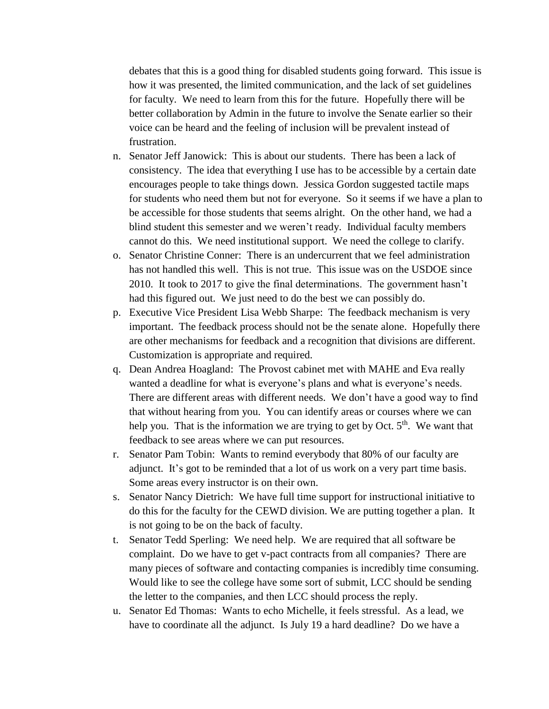debates that this is a good thing for disabled students going forward. This issue is how it was presented, the limited communication, and the lack of set guidelines for faculty. We need to learn from this for the future. Hopefully there will be better collaboration by Admin in the future to involve the Senate earlier so their voice can be heard and the feeling of inclusion will be prevalent instead of frustration.

- n. Senator Jeff Janowick: This is about our students. There has been a lack of consistency. The idea that everything I use has to be accessible by a certain date encourages people to take things down. Jessica Gordon suggested tactile maps for students who need them but not for everyone. So it seems if we have a plan to be accessible for those students that seems alright. On the other hand, we had a blind student this semester and we weren't ready. Individual faculty members cannot do this. We need institutional support. We need the college to clarify.
- o. Senator Christine Conner: There is an undercurrent that we feel administration has not handled this well. This is not true. This issue was on the USDOE since 2010. It took to 2017 to give the final determinations. The government hasn't had this figured out. We just need to do the best we can possibly do.
- p. Executive Vice President Lisa Webb Sharpe: The feedback mechanism is very important. The feedback process should not be the senate alone. Hopefully there are other mechanisms for feedback and a recognition that divisions are different. Customization is appropriate and required.
- q. Dean Andrea Hoagland: The Provost cabinet met with MAHE and Eva really wanted a deadline for what is everyone's plans and what is everyone's needs. There are different areas with different needs. We don't have a good way to find that without hearing from you. You can identify areas or courses where we can help you. That is the information we are trying to get by Oct.  $5<sup>th</sup>$ . We want that feedback to see areas where we can put resources.
- r. Senator Pam Tobin: Wants to remind everybody that 80% of our faculty are adjunct. It's got to be reminded that a lot of us work on a very part time basis. Some areas every instructor is on their own.
- s. Senator Nancy Dietrich: We have full time support for instructional initiative to do this for the faculty for the CEWD division. We are putting together a plan. It is not going to be on the back of faculty.
- t. Senator Tedd Sperling: We need help. We are required that all software be complaint. Do we have to get v-pact contracts from all companies? There are many pieces of software and contacting companies is incredibly time consuming. Would like to see the college have some sort of submit, LCC should be sending the letter to the companies, and then LCC should process the reply.
- u. Senator Ed Thomas: Wants to echo Michelle, it feels stressful. As a lead, we have to coordinate all the adjunct. Is July 19 a hard deadline? Do we have a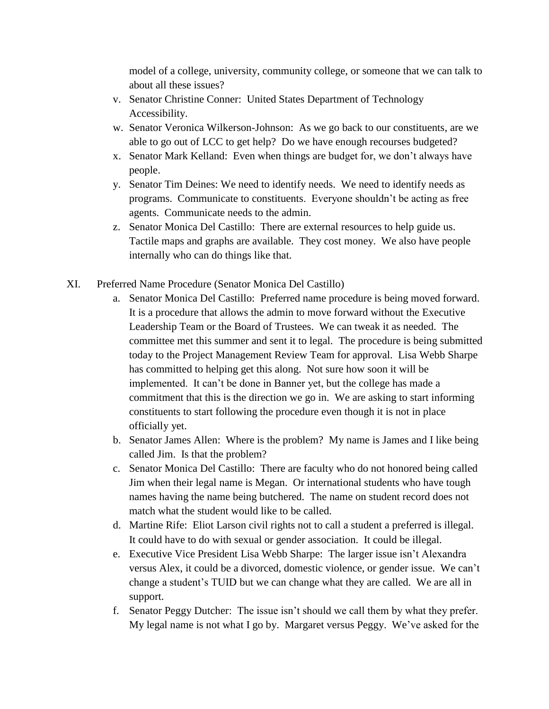model of a college, university, community college, or someone that we can talk to about all these issues?

- v. Senator Christine Conner: United States Department of Technology Accessibility.
- w. Senator Veronica Wilkerson-Johnson: As we go back to our constituents, are we able to go out of LCC to get help? Do we have enough recourses budgeted?
- x. Senator Mark Kelland: Even when things are budget for, we don't always have people.
- y. Senator Tim Deines: We need to identify needs. We need to identify needs as programs. Communicate to constituents. Everyone shouldn't be acting as free agents. Communicate needs to the admin.
- z. Senator Monica Del Castillo: There are external resources to help guide us. Tactile maps and graphs are available. They cost money. We also have people internally who can do things like that.
- XI. Preferred Name Procedure (Senator Monica Del Castillo)
	- a. Senator Monica Del Castillo: Preferred name procedure is being moved forward. It is a procedure that allows the admin to move forward without the Executive Leadership Team or the Board of Trustees. We can tweak it as needed. The committee met this summer and sent it to legal. The procedure is being submitted today to the Project Management Review Team for approval. Lisa Webb Sharpe has committed to helping get this along. Not sure how soon it will be implemented. It can't be done in Banner yet, but the college has made a commitment that this is the direction we go in. We are asking to start informing constituents to start following the procedure even though it is not in place officially yet.
	- b. Senator James Allen: Where is the problem? My name is James and I like being called Jim. Is that the problem?
	- c. Senator Monica Del Castillo: There are faculty who do not honored being called Jim when their legal name is Megan. Or international students who have tough names having the name being butchered. The name on student record does not match what the student would like to be called.
	- d. Martine Rife: Eliot Larson civil rights not to call a student a preferred is illegal. It could have to do with sexual or gender association. It could be illegal.
	- e. Executive Vice President Lisa Webb Sharpe: The larger issue isn't Alexandra versus Alex, it could be a divorced, domestic violence, or gender issue. We can't change a student's TUID but we can change what they are called. We are all in support.
	- f. Senator Peggy Dutcher: The issue isn't should we call them by what they prefer. My legal name is not what I go by. Margaret versus Peggy. We've asked for the